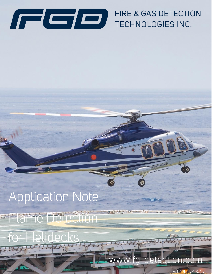

# FIRE & GAS DETECTION TECHNOLOGIES INC.

# **Application Note**

**ANTICAPE IN** 

smini ame T IPIPI

## www.fg-detection.com

Ref: AN: 2021-X010

10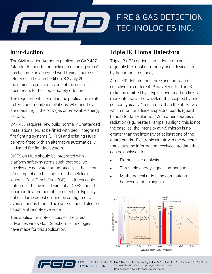

#### Introduction

The Civil Aviation Authority publication CAP 437 "standards for offshore helicopter landing areas" has become an accepted world-wide source of reference. The latest edition, 8.2 July 2021, maintains its position as one of the go-to documents for helicopter safety offshore.

The requirements set out in the publication relate to fixed and mobile installations, whether they are operating in the oil & gas or renewable energy sectors.

CAP 437 requires new build Normally Unattended Installations (NUIs) be fitted with deck integrated fire fighting systems (DIFFS) and existing NUI's be retro-fitted with an alternative automatically activated fire fighting system.

DIFFS on NUIs should be integrated with platform safety systems such that pop-up nozzles are activated automatically in the event of an impact of a helicopter on the helideck where a Post-Crash Fire (PCF) is a foreseeable outcome. The overall design of a DIFFS should incorporate a method of fire detection, typically optical flame detection, and be configured to avoid spurious trips. The system should also be capable of remote over-ride.

This application note discusses the latest advances Fire & Gas Detection Technologies have made for this application.

#### **Triple IR Flame Detectors**

Triple IR (IR3) optical flame detectors are arguably the most commonly used devices for hydrocarbon fires today.

A triple IR detector has three sensors, each sensitive to a different IR wavelength. The IR radiation emitted by a typical hydrocarbon fire is more intense at the wavelength accepted by one sensor, typically 4.5 microns, than the other two which monitor adjacent spectral bands (guard bands) for false alarms. "With other sources of radiation (e.g., heaters, lamps, sunlight) this is not the case, as. the intensity at 4.5 micron is no greater than the intensity of at least one of the guard bands. Electronic circuitry in the detector translates the information received into data that can be analysed for:

- Flame flicker analysis.
- Threshold energy signal comparison.
- Mathematical ratios and correlations between various signals.





FIRE & GAS DETECTION Fire & Gas Detection Technologies Inc. 4222 E. La Palma Ave. Anaheim, CA 92807 USA Tel: (+1) 714-671-8500 | support@fg-detection.com Specifications subject to change without notice.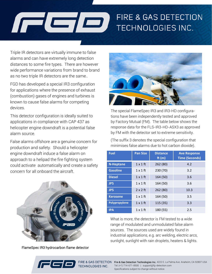# FIRE & GAS DETECTION  $\Box$ TECHNOLOGIES INC.

Triple IR detectors are virtually immune to false alarms and can have extremely long detection distances to some fire types. There are however wide performance variations from brand to brand as no two triple IR detectors are the same..

FGD has developed a special IR3 configuration for applications where the presence of exhaust (combustion) gases of engines and turbines is known to cause false alarms for competing devices.

This detector configuration is ideally suited to applications in compliance with CAP 437 as helicopter engine downdraft is a potential false alarm source.

False alarms offshore are a genuine concern for production and safety. Should a helicopter engine downdraft induce a false alarm on approach to a helipad the fire fighting system could activate automatically and create a safety concern for all onboard the aircraft.



FlameSpec IR3 hydrocarbon flame detector



The special FlameSpec IR3 and IR3-HD configurations have been independently tested and approved by Factory Mutual (FM). The table below shows the response data for the FLS-IR3-HD-ASX3 as approved by FM with the detector set to extreme sensitivity.

(The suffix 3 denotes the special configuration that minimises false alarms due to hot carbon dioxide).

| <b>Fuel</b>      | <b>Pan Size</b> | <b>Distance</b><br>ft $(m)$ | <b>Ave Response</b><br><b>Time (Seconds)</b> |
|------------------|-----------------|-----------------------------|----------------------------------------------|
| <b>N-Heptane</b> | $1 \times 1$ ft | 262 (80)                    | 4.2                                          |
| <b>Gasoline</b>  | $1 \times 1$ ft | 230 (70)                    | 3.2                                          |
| <b>Diesel</b>    | $1 \times 1$ ft | 164 (50)                    | 3.6                                          |
| JP5              | $1 \times 1$ ft | 164 (50)                    | 3.6                                          |
| JP5              | $2 \times 2$ ft | 262 (80)                    | 10.3                                         |
| <b>Kerosene</b>  | $1 \times 1$ ft | 164 (50)                    | 3.5                                          |
| Polypropylene    | $1 \times 1$ ft | 115 (35)                    | 3.3                                          |
| <b>IPA</b>       | $1 \times 1$ ft | 180 (55)                    | 2.5                                          |

What is more, the detector is FM tested to a wide range of modulated and unmodulated false alarm sources. The sources used are widely found in industrial applications, e.g. arc welding, electric arcs, sunlight, sunlight with rain droplets, heaters & lights.